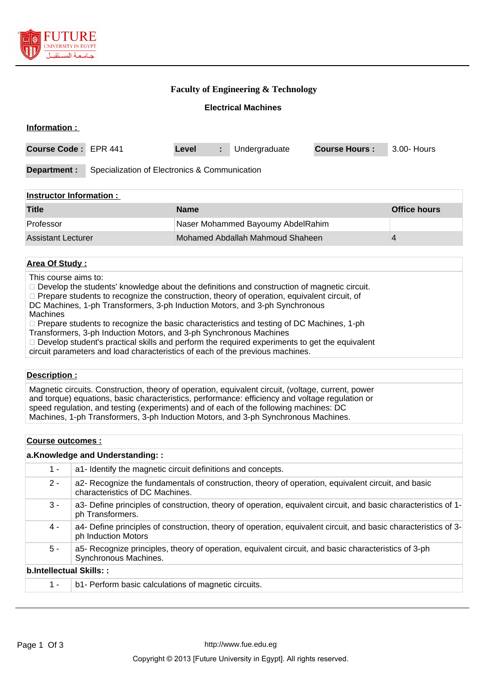

## **Faculty of Engineering & Technology**

## **Electrical Machines**

| Information :                  |                                               |                                   |    |               |                      |             |
|--------------------------------|-----------------------------------------------|-----------------------------------|----|---------------|----------------------|-------------|
| <b>Course Code:</b>            | <b>EPR 441</b>                                | Level                             | ÷. | Undergraduate | <b>Course Hours:</b> | 3.00- Hours |
| Department :                   | Specialization of Electronics & Communication |                                   |    |               |                      |             |
| <b>Instructor Information:</b> |                                               |                                   |    |               |                      |             |
| <b>Title</b>                   |                                               | <b>Name</b>                       |    |               | <b>Office hours</b>  |             |
| Professor                      |                                               | Naser Mohammed Bayoumy AbdelRahim |    |               |                      |             |
| <b>Assistant Lecturer</b>      |                                               | Mohamed Abdallah Mahmoud Shaheen  |    |               | 4                    |             |

### **Area Of Study :**

This course aims to:

 $\Box$  Develop the students' knowledge about the definitions and construction of magnetic circuit.

□ Prepare students to recognize the construction, theory of operation, equivalent circuit, of

DC Machines, 1-ph Transformers, 3-ph Induction Motors, and 3-ph Synchronous

Machines

 $\Box$  Prepare students to recognize the basic characteristics and testing of DC Machines, 1-ph

Transformers, 3-ph Induction Motors, and 3-ph Synchronous Machines

 $\Box$  Develop student's practical skills and perform the required experiments to get the equivalent

circuit parameters and load characteristics of each of the previous machines.

#### **Description :**

Magnetic circuits. Construction, theory of operation, equivalent circuit, (voltage, current, power and torque) equations, basic characteristics, performance: efficiency and voltage regulation or speed regulation, and testing (experiments) and of each of the following machines: DC Machines, 1-ph Transformers, 3-ph Induction Motors, and 3-ph Synchronous Machines.

#### **Course outcomes :**

#### **a.Knowledge and Understanding: :**

| $1 -$                   | a1- Identify the magnetic circuit definitions and concepts.                                                                            |
|-------------------------|----------------------------------------------------------------------------------------------------------------------------------------|
| $2 -$                   | a2- Recognize the fundamentals of construction, theory of operation, equivalent circuit, and basic<br>characteristics of DC Machines.  |
| $3 -$                   | a3- Define principles of construction, theory of operation, equivalent circuit, and basic characteristics of 1-<br>ph Transformers.    |
| 4 -                     | a4- Define principles of construction, theory of operation, equivalent circuit, and basic characteristics of 3-<br>ph Induction Motors |
| $5 -$                   | a5- Recognize principles, theory of operation, equivalent circuit, and basic characteristics of 3-ph<br>Synchronous Machines.          |
| b.Intellectual Skills:: |                                                                                                                                        |
| $1 -$                   | b1- Perform basic calculations of magnetic circuits.                                                                                   |
|                         |                                                                                                                                        |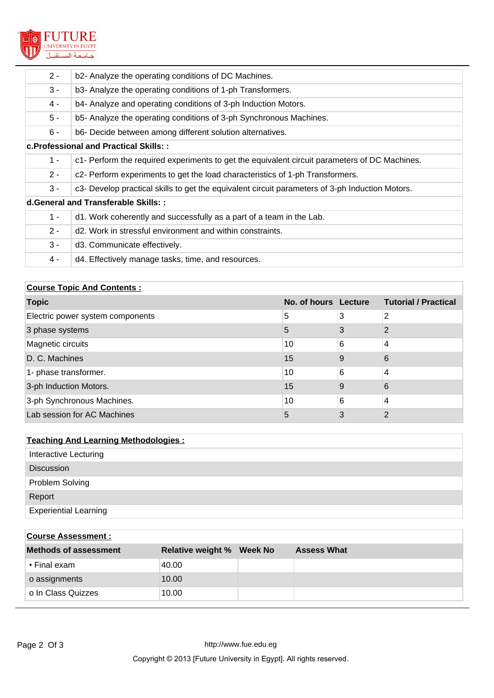

| $2 -$                                | b2- Analyze the operating conditions of DC Machines.                                            |  |  |  |  |  |
|--------------------------------------|-------------------------------------------------------------------------------------------------|--|--|--|--|--|
| $3 -$                                | b3- Analyze the operating conditions of 1-ph Transformers.                                      |  |  |  |  |  |
| 4 -                                  | b4- Analyze and operating conditions of 3-ph Induction Motors.                                  |  |  |  |  |  |
| $5 -$                                | b5- Analyze the operating conditions of 3-ph Synchronous Machines.                              |  |  |  |  |  |
| $6 -$                                | b6- Decide between among different solution alternatives.                                       |  |  |  |  |  |
|                                      | c. Professional and Practical Skills::                                                          |  |  |  |  |  |
| $1 -$                                | c1- Perform the required experiments to get the equivalent circuit parameters of DC Machines.   |  |  |  |  |  |
| $2 -$                                | c2- Perform experiments to get the load characteristics of 1-ph Transformers.                   |  |  |  |  |  |
| $3 -$                                | c3- Develop practical skills to get the equivalent circuit parameters of 3-ph Induction Motors. |  |  |  |  |  |
| d. General and Transferable Skills:: |                                                                                                 |  |  |  |  |  |
| $1 -$                                | d1. Work coherently and successfully as a part of a team in the Lab.                            |  |  |  |  |  |
| $2 -$                                | d <sub>2</sub> . Work in stressful environment and within constraints.                          |  |  |  |  |  |
| $3 -$                                | d3. Communicate effectively.                                                                    |  |  |  |  |  |
| 4 -                                  | d4. Effectively manage tasks, time, and resources.                                              |  |  |  |  |  |

# **Course Topic And Contents :**

| <b>Topic</b>                     | No. of hours Lecture |   | <b>Tutorial / Practical</b> |
|----------------------------------|----------------------|---|-----------------------------|
| Electric power system components | 5                    | 3 | 2                           |
| 3 phase systems                  | 5                    | 3 | 2                           |
| Magnetic circuits                | 10                   | 6 | 4                           |
| D. C. Machines                   | 15                   | 9 | 6                           |
| 1- phase transformer.            | 10                   | 6 | $\overline{4}$              |
| 3-ph Induction Motors.           | 15                   | 9 | 6                           |
| 3-ph Synchronous Machines.       | 10                   | 6 | 4                           |
| Lab session for AC Machines      | 5                    | 3 | っ                           |

| <b>Teaching And Learning Methodologies:</b> |  |  |  |
|---------------------------------------------|--|--|--|
| Interactive Lecturing                       |  |  |  |
| <b>Discussion</b>                           |  |  |  |
| Problem Solving                             |  |  |  |
| Report                                      |  |  |  |
| <b>Experiential Learning</b>                |  |  |  |

| <b>Course Assessment:</b> |                                  |                    |
|---------------------------|----------------------------------|--------------------|
| Methods of assessment     | <b>Relative weight % Week No</b> | <b>Assess What</b> |
| • Final exam              | 40.00                            |                    |
| o assignments             | 10.00                            |                    |
| o In Class Quizzes        | 10.00                            |                    |